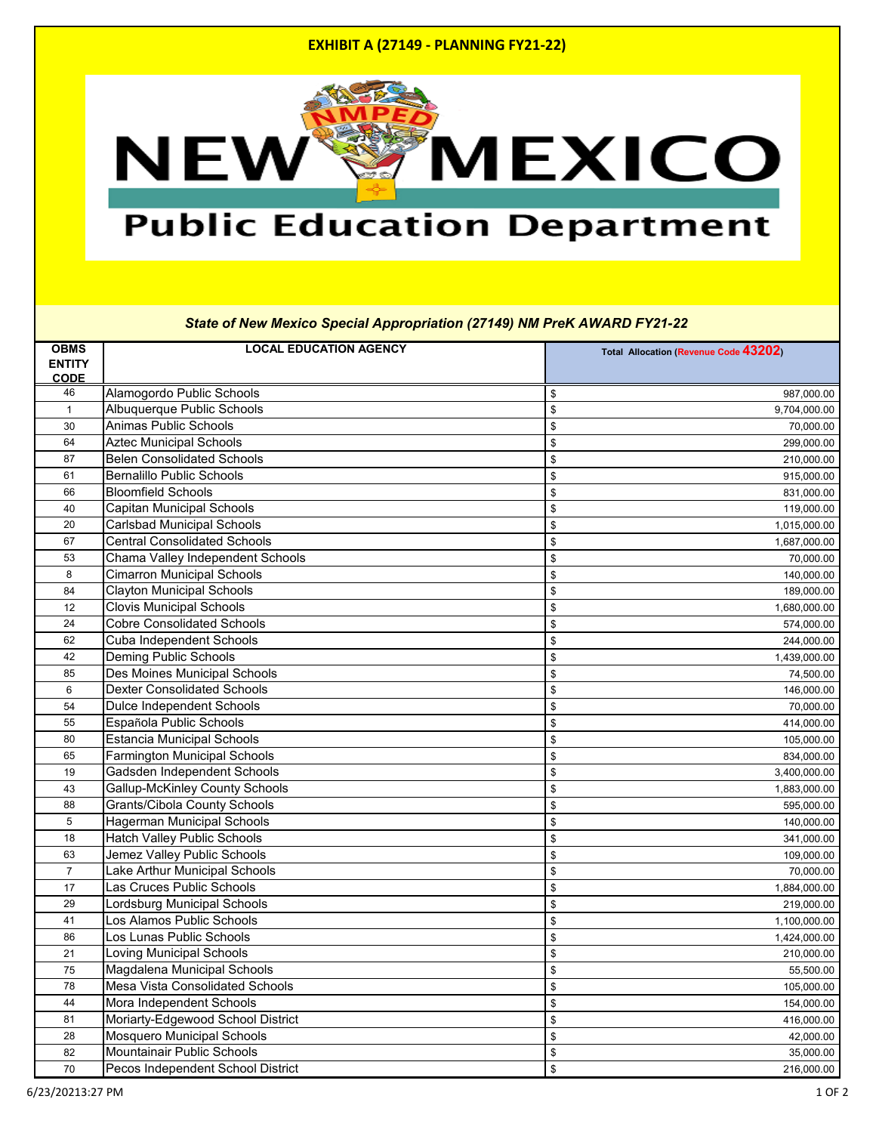## **EXHIBIT A (27149 - PLANNING FY21-22)**



# **Public Education Department**

#### *State of New Mexico Special Appropriation (27149) NM PreK AWARD FY21-22*

| <b>OBMS</b><br><b>ENTITY</b><br><b>CODE</b> | <b>LOCAL EDUCATION AGENCY</b>          | Total Allocation (Revenue Code 43202) |
|---------------------------------------------|----------------------------------------|---------------------------------------|
| 46                                          | Alamogordo Public Schools              | 987,000.00<br>\$                      |
| $\mathbf{1}$                                | <b>Albuquerque Public Schools</b>      | \$<br>9,704,000.00                    |
| 30                                          | <b>Animas Public Schools</b>           | \$<br>70,000.00                       |
| 64                                          | <b>Aztec Municipal Schools</b>         | \$<br>299,000.00                      |
| 87                                          | <b>Belen Consolidated Schools</b>      | \$<br>210,000.00                      |
| 61                                          | <b>Bernalillo Public Schools</b>       | \$<br>915,000.00                      |
| 66                                          | <b>Bloomfield Schools</b>              | \$<br>831,000.00                      |
| 40                                          | <b>Capitan Municipal Schools</b>       | \$<br>119,000.00                      |
| 20                                          | <b>Carlsbad Municipal Schools</b>      | \$<br>1,015,000.00                    |
| 67                                          | <b>Central Consolidated Schools</b>    | \$<br>1,687,000.00                    |
| 53                                          | Chama Valley Independent Schools       | \$<br>70,000.00                       |
| 8                                           | <b>Cimarron Municipal Schools</b>      | \$<br>140,000.00                      |
| 84                                          | <b>Clayton Municipal Schools</b>       | 189,000.00<br>\$                      |
| 12                                          | <b>Clovis Municipal Schools</b>        | \$<br>1,680,000.00                    |
| 24                                          | <b>Cobre Consolidated Schools</b>      | \$<br>574,000.00                      |
| 62                                          | <b>Cuba Independent Schools</b>        | \$<br>244,000.00                      |
| 42                                          | <b>Deming Public Schools</b>           | \$<br>1,439,000.00                    |
| 85                                          | Des Moines Municipal Schools           | 74,500.00<br>\$                       |
| 6                                           | <b>Dexter Consolidated Schools</b>     | \$<br>146,000.00                      |
| 54                                          | <b>Dulce Independent Schools</b>       | \$<br>70,000.00                       |
| 55                                          | Española Public Schools                | \$<br>414,000.00                      |
| 80                                          | <b>Estancia Municipal Schools</b>      | \$<br>105,000.00                      |
| 65                                          | <b>Farmington Municipal Schools</b>    | \$<br>834,000.00                      |
| 19                                          | Gadsden Independent Schools            | \$<br>3,400,000.00                    |
| 43                                          | <b>Gallup-McKinley County Schools</b>  | \$<br>1,883,000.00                    |
| 88                                          | <b>Grants/Cibola County Schools</b>    | \$<br>595,000.00                      |
| 5                                           | Hagerman Municipal Schools             | \$<br>140,000.00                      |
| 18                                          | <b>Hatch Valley Public Schools</b>     | \$<br>341,000.00                      |
| 63                                          | Jemez Valley Public Schools            | \$<br>109,000.00                      |
| $\overline{7}$                              | Lake Arthur Municipal Schools          | 70,000.00<br>\$                       |
| 17                                          | Las Cruces Public Schools              | \$<br>1,884,000.00                    |
| 29                                          | ordsburg Municipal Schools             | \$<br>219,000.00                      |
| 41                                          | Los Alamos Public Schools              | \$<br>1,100,000.00                    |
| 86                                          | os Lunas Public Schools                | \$<br>1,424,000.00                    |
| 21                                          | Loving Municipal Schools               | \$<br>210,000.00                      |
| 75                                          | Magdalena Municipal Schools            | \$<br>55,500.00                       |
| 78                                          | <b>Mesa Vista Consolidated Schools</b> | \$<br>105,000.00                      |
| 44                                          | Mora Independent Schools               | \$<br>154,000.00                      |
| 81                                          | Moriarty-Edgewood School District      | \$<br>416,000.00                      |
| 28                                          | <b>Mosquero Municipal Schools</b>      | 42,000.00<br>\$                       |
| 82                                          | <b>Mountainair Public Schools</b>      | \$<br>35,000.00                       |
| 70                                          | Pecos Independent School District      | \$<br>216,000.00                      |